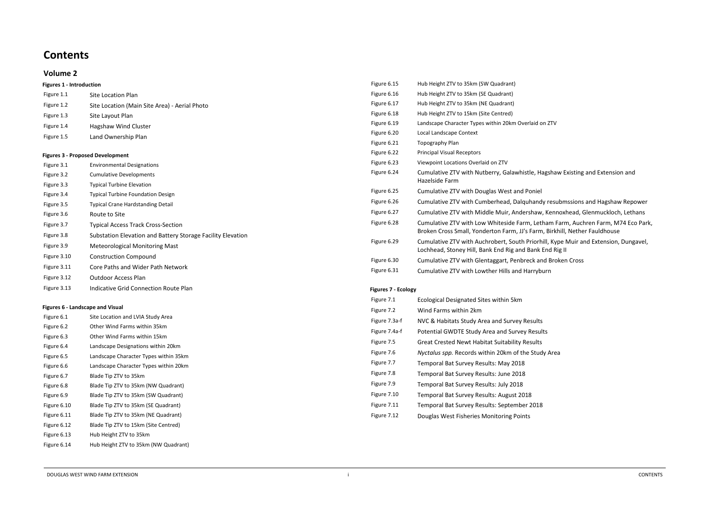# **Contents**

# **Volume 2**

| <b>Figures 1 - Introduction</b>                             |                          |  |
|-------------------------------------------------------------|--------------------------|--|
| <b>Site Location Plan</b>                                   | Figure 6.16              |  |
| Site Location (Main Site Area) - Aerial Photo               | Figure 6.17              |  |
| Site Layout Plan                                            | Figure 6.18              |  |
| Hagshaw Wind Cluster                                        | Figure 6.19              |  |
|                                                             | Figure 6.20              |  |
|                                                             | Figure 6.21              |  |
| <b>Figures 3 - Proposed Development</b>                     | Figure 6.22              |  |
| <b>Environmental Designations</b>                           | Figure 6.23              |  |
| <b>Cumulative Developments</b>                              | Figure 6.24              |  |
| <b>Typical Turbine Elevation</b>                            |                          |  |
| <b>Typical Turbine Foundation Design</b>                    | Figure 6.25              |  |
| <b>Typical Crane Hardstanding Detail</b>                    | Figure 6.26              |  |
| Route to Site                                               | Figure 6.27              |  |
| Figure 3.7<br><b>Typical Access Track Cross-Section</b>     |                          |  |
| Substation Elevation and Battery Storage Facility Elevation |                          |  |
| <b>Meteorological Monitoring Mast</b>                       | Figure 6.29              |  |
| <b>Construction Compound</b>                                | Figure 6.30              |  |
| Core Paths and Wider Path Network                           | Figure 6.31              |  |
| <b>Outdoor Access Plan</b>                                  |                          |  |
| <b>Indicative Grid Connection Route Plan</b>                | <b>Figures 7 - Ecold</b> |  |
|                                                             | Land Ownership Plan      |  |

#### **Figures 6 - Landscape and Visual**

| Figure 6.1  | Site Location and LVIA Study Area     |
|-------------|---------------------------------------|
| Figure 6.2  | Other Wind Farms within 35km          |
| Figure 6.3  | Other Wind Farms within 15km          |
| Figure 6.4  | Landscape Designations within 20km    |
| Figure 6.5  | Landscape Character Types within 35km |
| Figure 6.6  | Landscape Character Types within 20km |
| Figure 6.7  | Blade Tip ZTV to 35km                 |
| Figure 6.8  | Blade Tip ZTV to 35km (NW Quadrant)   |
| Figure 6.9  | Blade Tip ZTV to 35km (SW Quadrant)   |
| Figure 6.10 | Blade Tip ZTV to 35km (SE Quadrant)   |
| Figure 6.11 | Blade Tip ZTV to 35km (NE Quadrant)   |
| Figure 6.12 | Blade Tip ZTV to 15km (Site Centred)  |
| Figure 6.13 | Hub Height ZTV to 35km                |
| Figure 6.14 | Hub Height ZTV to 35km (NW Quadrant)  |

| Figure 6.15         | Hub Height ZTV to 35km (SW Quadrant)                                                                      |
|---------------------|-----------------------------------------------------------------------------------------------------------|
| Figure 6.16         | Hub Height ZTV to 35km (SE Quadrant)                                                                      |
| Figure 6.17         | Hub Height ZTV to 35km (NE Quadrant)                                                                      |
| Figure 6.18         | Hub Height ZTV to 15km (Site Centred)                                                                     |
| Figure 6.19         | Landscape Character Types within 20km Overlaid on ZTV                                                     |
| Figure 6.20         | Local Landscape Context                                                                                   |
| Figure 6.21         | <b>Topography Plan</b>                                                                                    |
| Figure 6.22         | <b>Principal Visual Receptors</b>                                                                         |
| Figure 6.23         | Viewpoint Locations Overlaid on ZTV                                                                       |
| Figure 6.24         | Cumulative ZTV with Nutberry, Galawhistle, Hagsha<br>Hazelside Farm                                       |
| Figure 6.25         | Cumulative ZTV with Douglas West and Poniel                                                               |
| Figure 6.26         | Cumulative ZTV with Cumberhead, Dalquhandy rest                                                           |
| Figure 6.27         | Cumulative ZTV with Middle Muir, Andershaw, Ken                                                           |
| Figure 6.28         | Cumulative ZTV with Low Whiteside Farm, Letham<br>Broken Cross Small, Yonderton Farm, JJ's Farm, Birk     |
| Figure 6.29         | Cumulative ZTV with Auchrobert, South Priorhill, Ky<br>Lochhead, Stoney Hill, Bank End Rig and Bank End R |
| Figure 6.30         | Cumulative ZTV with Glentaggart, Penbreck and Bro                                                         |
| Figure 6.31         | Cumulative ZTV with Lowther Hills and Harryburn                                                           |
| Figures 7 - Ecology |                                                                                                           |

## **Figures 7 - Ecology**

| Figure 7.1    | <b>Ecological Designated Sites within 5km</b>         |
|---------------|-------------------------------------------------------|
| Figure 7.2    | Wind Farms within 2km                                 |
| Figure 7.3a-f | NVC & Habitats Study Area and Survey Results          |
| Figure 7.4a-f | Potential GWDTE Study Area and Survey Results         |
| Figure 7.5    | <b>Great Crested Newt Habitat Suitability Results</b> |
| Figure 7.6    | Nyctalus spp. Records within 20km of the Study Area   |
| Figure 7.7    | Temporal Bat Survey Results: May 2018                 |
| Figure 7.8    | Temporal Bat Survey Results: June 2018                |
| Figure 7.9    | Temporal Bat Survey Results: July 2018                |
| Figure 7.10   | Temporal Bat Survey Results: August 2018              |
| Figure 7.11   | Temporal Bat Survey Results: September 2018           |
| Figure 7.12   | Douglas West Fisheries Monitoring Points              |

agshaw Existing and Extension and

Iy resubmssions and Hagshaw Repower

Kennoxhead, Glenmuckloch, Lethans

ham Farm, Auchren Farm, M74 Eco Park, Birkhill, Nether Fauldhouse

hill, Kype Muir and Extension, Dungavel, End Rig II

d Broken Cross